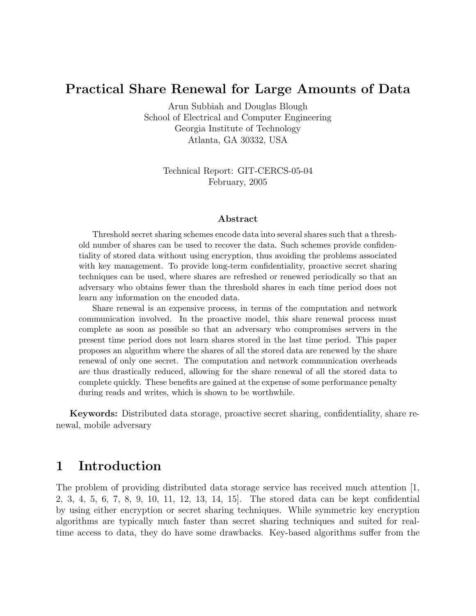### Practical Share Renewal for Large Amounts of Data

Arun Subbiah and Douglas Blough School of Electrical and Computer Engineering Georgia Institute of Technology Atlanta, GA 30332, USA

> Technical Report: GIT-CERCS-05-04 February, 2005

#### Abstract

Threshold secret sharing schemes encode data into several shares such that a threshold number of shares can be used to recover the data. Such schemes provide confidentiality of stored data without using encryption, thus avoiding the problems associated with key management. To provide long-term confidentiality, proactive secret sharing techniques can be used, where shares are refreshed or renewed periodically so that an adversary who obtains fewer than the threshold shares in each time period does not learn any information on the encoded data.

Share renewal is an expensive process, in terms of the computation and network communication involved. In the proactive model, this share renewal process must complete as soon as possible so that an adversary who compromises servers in the present time period does not learn shares stored in the last time period. This paper proposes an algorithm where the shares of all the stored data are renewed by the share renewal of only one secret. The computation and network communication overheads are thus drastically reduced, allowing for the share renewal of all the stored data to complete quickly. These benefits are gained at the expense of some performance penalty during reads and writes, which is shown to be worthwhile.

Keywords: Distributed data storage, proactive secret sharing, confidentiality, share renewal, mobile adversary

## 1 Introduction

The problem of providing distributed data storage service has received much attention [1, 2, 3, 4, 5, 6, 7, 8, 9, 10, 11, 12, 13, 14, 15]. The stored data can be kept confidential by using either encryption or secret sharing techniques. While symmetric key encryption algorithms are typically much faster than secret sharing techniques and suited for realtime access to data, they do have some drawbacks. Key-based algorithms suffer from the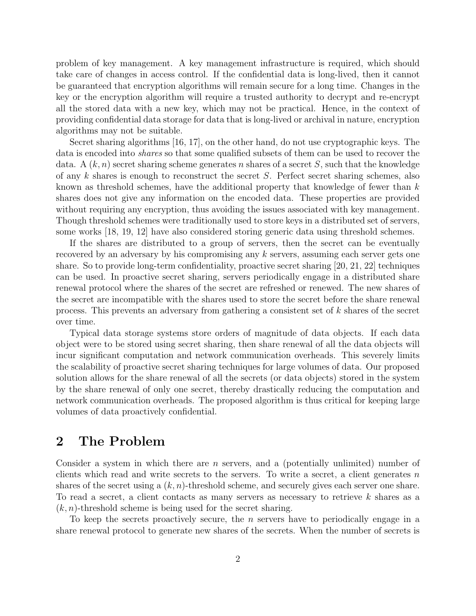problem of key management. A key management infrastructure is required, which should take care of changes in access control. If the confidential data is long-lived, then it cannot be guaranteed that encryption algorithms will remain secure for a long time. Changes in the key or the encryption algorithm will require a trusted authority to decrypt and re-encrypt all the stored data with a new key, which may not be practical. Hence, in the context of providing confidential data storage for data that is long-lived or archival in nature, encryption algorithms may not be suitable.

Secret sharing algorithms [16, 17], on the other hand, do not use cryptographic keys. The data is encoded into shares so that some qualified subsets of them can be used to recover the data. A  $(k, n)$  secret sharing scheme generates n shares of a secret S, such that the knowledge of any k shares is enough to reconstruct the secret S. Perfect secret sharing schemes, also known as threshold schemes, have the additional property that knowledge of fewer than k shares does not give any information on the encoded data. These properties are provided without requiring any encryption, thus avoiding the issues associated with key management. Though threshold schemes were traditionally used to store keys in a distributed set of servers, some works [18, 19, 12] have also considered storing generic data using threshold schemes.

If the shares are distributed to a group of servers, then the secret can be eventually recovered by an adversary by his compromising any k servers, assuming each server gets one share. So to provide long-term confidentiality, proactive secret sharing [20, 21, 22] techniques can be used. In proactive secret sharing, servers periodically engage in a distributed share renewal protocol where the shares of the secret are refreshed or renewed. The new shares of the secret are incompatible with the shares used to store the secret before the share renewal process. This prevents an adversary from gathering a consistent set of k shares of the secret over time.

Typical data storage systems store orders of magnitude of data objects. If each data object were to be stored using secret sharing, then share renewal of all the data objects will incur significant computation and network communication overheads. This severely limits the scalability of proactive secret sharing techniques for large volumes of data. Our proposed solution allows for the share renewal of all the secrets (or data objects) stored in the system by the share renewal of only one secret, thereby drastically reducing the computation and network communication overheads. The proposed algorithm is thus critical for keeping large volumes of data proactively confidential.

### 2 The Problem

Consider a system in which there are n servers, and a (potentially unlimited) number of clients which read and write secrets to the servers. To write a secret, a client generates  $n$ shares of the secret using a  $(k, n)$ -threshold scheme, and securely gives each server one share. To read a secret, a client contacts as many servers as necessary to retrieve k shares as a  $(k, n)$ -threshold scheme is being used for the secret sharing.

To keep the secrets proactively secure, the *n* servers have to periodically engage in a share renewal protocol to generate new shares of the secrets. When the number of secrets is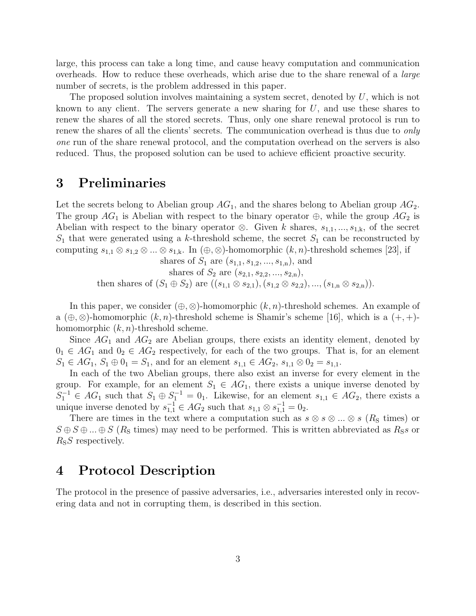large, this process can take a long time, and cause heavy computation and communication overheads. How to reduce these overheads, which arise due to the share renewal of a large number of secrets, is the problem addressed in this paper.

The proposed solution involves maintaining a system secret, denoted by  $U$ , which is not known to any client. The servers generate a new sharing for  $U$ , and use these shares to renew the shares of all the stored secrets. Thus, only one share renewal protocol is run to renew the shares of all the clients' secrets. The communication overhead is thus due to *only* one run of the share renewal protocol, and the computation overhead on the servers is also reduced. Thus, the proposed solution can be used to achieve efficient proactive security.

### 3 Preliminaries

Let the secrets belong to Abelian group  $AG_1$ , and the shares belong to Abelian group  $AG_2$ . The group  $AG_1$  is Abelian with respect to the binary operator  $\oplus$ , while the group  $AG_2$  is Abelian with respect to the binary operator  $\otimes$ . Given k shares,  $s_{1,1},...,s_{1,k}$ , of the secret  $S_1$  that were generated using a k-threshold scheme, the secret  $S_1$  can be reconstructed by computing  $s_{1,1} \otimes s_{1,2} \otimes ... \otimes s_{1,k}$ . In  $(\oplus, \otimes)$ -homomorphic  $(k, n)$ -threshold schemes [23], if

shares of  $S_1$  are  $(s_{1,1}, s_{1,2}, ..., s_{1,n})$ , and shares of  $S_2$  are  $(s_{2,1}, s_{2,2}, ..., s_{2,n}),$ then shares of  $(S_1 \oplus S_2)$  are  $((s_{1,1} \otimes s_{2,1}), (s_{1,2} \otimes s_{2,2}), ..., (s_{1,n} \otimes s_{2,n})).$ 

In this paper, we consider  $(\oplus, \otimes)$ -homomorphic  $(k, n)$ -threshold schemes. An example of a  $(\oplus, \otimes)$ -homomorphic  $(k, n)$ -threshold scheme is Shamir's scheme [16], which is a  $(+, +)$ homomorphic  $(k, n)$ -threshold scheme.

Since  $AG_1$  and  $AG_2$  are Abelian groups, there exists an identity element, denoted by  $0_1 \in AG_1$  and  $0_2 \in AG_2$  respectively, for each of the two groups. That is, for an element  $S_1 \in AG_1$ ,  $S_1 \oplus 0_1 = S_1$ , and for an element  $s_{1,1} \in AG_2$ ,  $s_{1,1} \otimes 0_2 = s_{1,1}$ .

In each of the two Abelian groups, there also exist an inverse for every element in the group. For example, for an element  $S_1 \in AG_1$ , there exists a unique inverse denoted by  $S_1^{-1} \in AG_1$  such that  $S_1 \oplus S_1^{-1} = 0_1$ . Likewise, for an element  $s_{1,1} \in AG_2$ , there exists a unique inverse denoted by  $s_{1,1}^{-1} \in AG_2$  such that  $s_{1,1} \otimes s_{1,1}^{-1} = 0_2$ .

There are times in the text where a computation such as  $s \otimes s \otimes ... \otimes s$  ( $R<sub>S</sub>$  times) or  $S \oplus S \oplus ... \oplus S$  (R<sub>S</sub> times) may need to be performed. This is written abbreviated as R<sub>SS</sub> or  $R_{\rm S}S$  respectively.

## 4 Protocol Description

The protocol in the presence of passive adversaries, i.e., adversaries interested only in recovering data and not in corrupting them, is described in this section.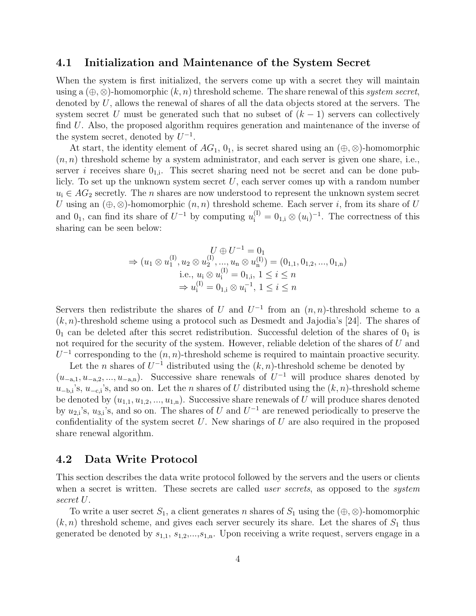#### 4.1 Initialization and Maintenance of the System Secret

When the system is first initialized, the servers come up with a secret they will maintain using a  $(\oplus, \otimes)$ -homomorphic  $(k, n)$  threshold scheme. The share renewal of this system secret, denoted by  $U$ , allows the renewal of shares of all the data objects stored at the servers. The system secret U must be generated such that no subset of  $(k-1)$  servers can collectively find U. Also, the proposed algorithm requires generation and maintenance of the inverse of the system secret, denoted by  $U^{-1}$ .

At start, the identity element of  $AG_1$ ,  $0_1$ , is secret shared using an  $(\oplus, \otimes)$ -homomorphic  $(n, n)$  threshold scheme by a system administrator, and each server is given one share, i.e., server *i* receives share  $0_{1,i}$ . This secret sharing need not be secret and can be done publicly. To set up the unknown system secret  $U$ , each server comes up with a random number  $u_i \in AG_2$  secretly. The *n* shares are now understood to represent the unknown system secret U using an  $(\oplus, \otimes)$ -homomorphic  $(n, n)$  threshold scheme. Each server i, from its share of U and  $0_1$ , can find its share of  $U^{-1}$  by computing  $u_i^{(1)} = 0_{1,i} \otimes (u_i)^{-1}$ . The correctness of this sharing can be seen below:

$$
U \oplus U^{-1} = 0_1
$$
  
\n
$$
\Rightarrow (u_1 \otimes u_1^{(I)}, u_2 \otimes u_2^{(I)}, ..., u_n \otimes u_n^{(I)}) = (0_{1,1}, 0_{1,2}, ..., 0_{1,n})
$$
  
\ni.e.,  $u_i \otimes u_i^{(I)} = 0_{1,i}, 1 \le i \le n$   
\n
$$
\Rightarrow u_i^{(I)} = 0_{1,i} \otimes u_i^{-1}, 1 \le i \le n
$$

Servers then redistribute the shares of U and  $U^{-1}$  from an  $(n, n)$ -threshold scheme to a  $(k, n)$ -threshold scheme using a protocol such as Desmedt and Jajodia's [24]. The shares of  $0<sub>1</sub>$  can be deleted after this secret redistribution. Successful deletion of the shares of  $0<sub>1</sub>$  is not required for the security of the system. However, reliable deletion of the shares of U and  $U^{-1}$  corresponding to the  $(n, n)$ -threshold scheme is required to maintain proactive security.

Let the n shares of  $U^{-1}$  distributed using the  $(k, n)$ -threshold scheme be denoted by  $(u_{-a,1}, u_{-a,2}, ..., u_{-a,n})$ . Successive share renewals of  $U^{-1}$  will produce shares denoted by  $u_{-b,i}$ 's,  $u_{-c,i}$ 's, and so on. Let the *n* shares of U distributed using the  $(k, n)$ -threshold scheme be denoted by  $(u_{1,1}, u_{1,2}, ..., u_{1,n})$ . Successive share renewals of U will produce shares denoted by  $u_{2,i}$ 's,  $u_{3,i}$ 's, and so on. The shares of U and  $U^{-1}$  are renewed periodically to preserve the confidentiality of the system secret  $U$ . New sharings of  $U$  are also required in the proposed share renewal algorithm.

#### 4.2 Data Write Protocol

This section describes the data write protocol followed by the servers and the users or clients when a secret is written. These secrets are called *user secrets*, as opposed to the *system* secret U.

To write a user secret  $S_1$ , a client generates n shares of  $S_1$  using the  $(\oplus, \otimes)$ -homomorphic  $(k, n)$  threshold scheme, and gives each server securely its share. Let the shares of  $S_1$  thus generated be denoted by  $s_{1,1}, s_{1,2},...,s_{1,n}$ . Upon receiving a write request, servers engage in a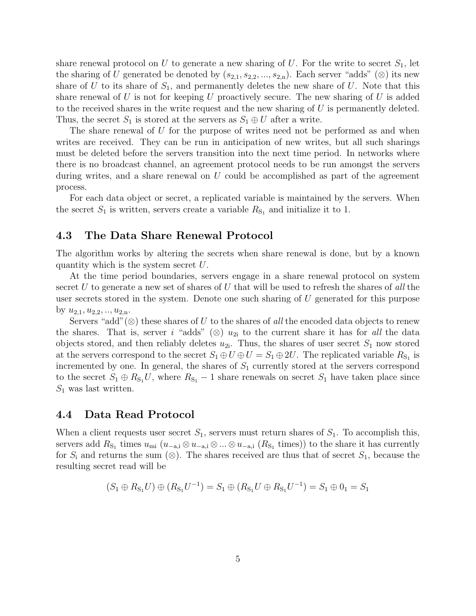share renewal protocol on U to generate a new sharing of U. For the write to secret  $S_1$ , let the sharing of U generated be denoted by  $(s_{2,1}, s_{2,2}, ..., s_{2,n})$ . Each server "adds" (⊗) its new share of U to its share of  $S_1$ , and permanently deletes the new share of U. Note that this share renewal of U is not for keeping U proactively secure. The new sharing of U is added to the received shares in the write request and the new sharing of U is permanently deleted. Thus, the secret  $S_1$  is stored at the servers as  $S_1 \oplus U$  after a write.

The share renewal of U for the purpose of writes need not be performed as and when writes are received. They can be run in anticipation of new writes, but all such sharings must be deleted before the servers transition into the next time period. In networks where there is no broadcast channel, an agreement protocol needs to be run amongst the servers during writes, and a share renewal on  $U$  could be accomplished as part of the agreement process.

For each data object or secret, a replicated variable is maintained by the servers. When the secret  $S_1$  is written, servers create a variable  $R_{S_1}$  and initialize it to 1.

### 4.3 The Data Share Renewal Protocol

The algorithm works by altering the secrets when share renewal is done, but by a known quantity which is the system secret U.

At the time period boundaries, servers engage in a share renewal protocol on system secret U to generate a new set of shares of U that will be used to refresh the shares of all the user secrets stored in the system. Denote one such sharing of  $U$  generated for this purpose by  $u_{2,1}, u_{2,2}, \ldots, u_{2,n}$ .

Servers "add"(⊗) these shares of U to the shares of all the encoded data objects to renew the shares. That is, server i "adds" (⊗)  $u_{2i}$  to the current share it has for all the data objects stored, and then reliably deletes  $u_{2i}$ . Thus, the shares of user secret  $S_1$  now stored at the servers correspond to the secret  $S_1 \oplus U \oplus U = S_1 \oplus 2U$ . The replicated variable  $R_{S_1}$  is incremented by one. In general, the shares of  $S_1$  currently stored at the servers correspond to the secret  $S_1 \oplus R_{S_1}U$ , where  $R_{S_1} - 1$  share renewals on secret  $S_1$  have taken place since  $S_1$  was last written.

#### 4.4 Data Read Protocol

When a client requests user secret  $S_1$ , servers must return shares of  $S_1$ . To accomplish this, servers add  $R_{S_1}$  times  $u_{mi}$  ( $u_{-a,i} \otimes u_{-a,i} \otimes ... \otimes u_{-a,i}$  ( $R_{S_1}$  times)) to the share it has currently for  $S_i$  and returns the sum (⊗). The shares received are thus that of secret  $S_1$ , because the resulting secret read will be

$$
(S_1 \oplus R_{S_1} U) \oplus (R_{S_1} U^{-1}) = S_1 \oplus (R_{S_1} U \oplus R_{S_1} U^{-1}) = S_1 \oplus 0_1 = S_1
$$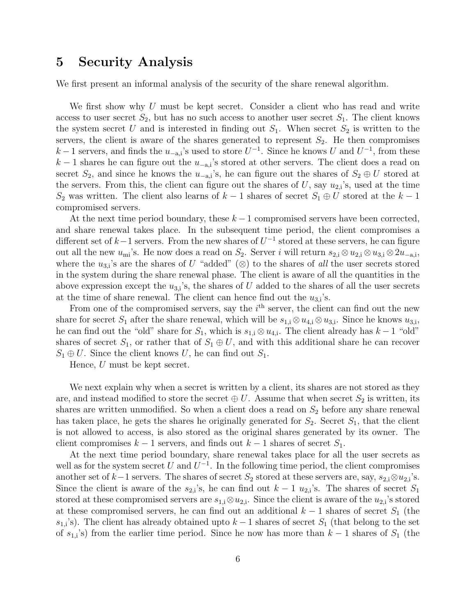### 5 Security Analysis

We first present an informal analysis of the security of the share renewal algorithm.

We first show why U must be kept secret. Consider a client who has read and write access to user secret  $S_2$ , but has no such access to another user secret  $S_1$ . The client knows the system secret U and is interested in finding out  $S_1$ . When secret  $S_2$  is written to the servers, the client is aware of the shares generated to represent  $S_2$ . He then compromises  $k-1$  servers, and finds the  $u_{-a,i}$ 's used to store  $U^{-1}$ . Since he knows U and  $U^{-1}$ , from these  $k-1$  shares he can figure out the  $u_{-a,i}$ 's stored at other servers. The client does a read on secret  $S_2$ , and since he knows the  $u_{-a,i}$ 's, he can figure out the shares of  $S_2 \oplus U$  stored at the servers. From this, the client can figure out the shares of  $U$ , say  $u_{2,i}$ 's, used at the time  $S_2$  was written. The client also learns of  $k-1$  shares of secret  $S_1 \oplus U$  stored at the  $k-1$ compromised servers.

At the next time period boundary, these  $k-1$  compromised servers have been corrected, and share renewal takes place. In the subsequent time period, the client compromises a different set of  $k-1$  servers. From the new shares of  $U^{-1}$  stored at these servers, he can figure out all the new  $u_{mi}$ 's. He now does a read on  $S_2$ . Server i will return  $s_{2,i} \otimes u_{2,i} \otimes u_{3,i} \otimes 2u_{-a,i}$ , where the  $u_{3,i}$ 's are the shares of U "added" (⊗) to the shares of all the user secrets stored in the system during the share renewal phase. The client is aware of all the quantities in the above expression except the  $u_{3,i}$ 's, the shares of U added to the shares of all the user secrets at the time of share renewal. The client can hence find out the  $u_{3,i}$ 's.

From one of the compromised servers, say the  $i<sup>th</sup>$  server, the client can find out the new share for secret  $S_1$  after the share renewal, which will be  $s_{1,i} \otimes u_{4,i} \otimes u_{3,i}$ . Since he knows  $u_{3,i}$ , he can find out the "old" share for  $S_1$ , which is  $s_{1,i} \otimes u_{4,i}$ . The client already has  $k-1$  "old" shares of secret  $S_1$ , or rather that of  $S_1 \oplus U$ , and with this additional share he can recover  $S_1 \oplus U$ . Since the client knows U, he can find out  $S_1$ .

Hence, U must be kept secret.

We next explain why when a secret is written by a client, its shares are not stored as they are, and instead modified to store the secret  $\oplus U$ . Assume that when secret  $S_2$  is written, its shares are written unmodified. So when a client does a read on  $S_2$  before any share renewal has taken place, he gets the shares he originally generated for  $S_2$ . Secret  $S_1$ , that the client is not allowed to access, is also stored as the original shares generated by its owner. The client compromises  $k - 1$  servers, and finds out  $k - 1$  shares of secret  $S_1$ .

At the next time period boundary, share renewal takes place for all the user secrets as well as for the system secret U and  $U^{-1}$ . In the following time period, the client compromises another set of k−1 servers. The shares of secret  $S_2$  stored at these servers are, say,  $s_{2,i} \otimes u_{2,i}$ 's. Since the client is aware of the  $s_{2,i}$ 's, he can find out  $k-1$   $u_{2,i}$ 's. The shares of secret  $S_1$ stored at these compromised servers are  $s_{1,i} \otimes u_{2,i}$ . Since the client is aware of the  $u_{2,i}$ 's stored at these compromised servers, he can find out an additional  $k-1$  shares of secret  $S_1$  (the  $s_{1,i}$ 's). The client has already obtained upto  $k-1$  shares of secret  $S_1$  (that belong to the set of  $s_{1,i}$ 's) from the earlier time period. Since he now has more than  $k-1$  shares of  $S_1$  (the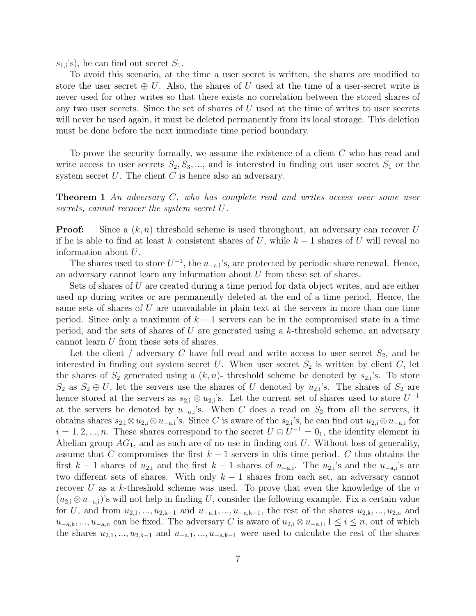$s_{1,i}$ 's), he can find out secret  $S_1$ .

To avoid this scenario, at the time a user secret is written, the shares are modified to store the user secret  $\oplus U$ . Also, the shares of U used at the time of a user-secret write is never used for other writes so that there exists no correlation between the stored shares of any two user secrets. Since the set of shares of  $U$  used at the time of writes to user secrets will never be used again, it must be deleted permanently from its local storage. This deletion must be done before the next immediate time period boundary.

To prove the security formally, we assume the existence of a client C who has read and write access to user secrets  $S_2, S_3, \dots$ , and is interested in finding out user secret  $S_1$  or the system secret  $U$ . The client  $C$  is hence also an adversary.

**Theorem 1** An adversary C, who has complete read and writes access over some user secrets, cannot recover the system secret U.

**Proof:** Since a  $(k, n)$  threshold scheme is used throughout, an adversary can recover U if he is able to find at least k consistent shares of U, while  $k-1$  shares of U will reveal no information about U.

The shares used to store  $U^{-1}$ , the  $u_{-a,i}$ 's, are protected by periodic share renewal. Hence, an adversary cannot learn any information about  $U$  from these set of shares.

Sets of shares of U are created during a time period for data object writes, and are either used up during writes or are permanently deleted at the end of a time period. Hence, the same sets of shares of  $U$  are unavailable in plain text at the servers in more than one time period. Since only a maximum of  $k-1$  servers can be in the compromised state in a time period, and the sets of shares of U are generated using a  $k$ -threshold scheme, an adversary cannot learn U from these sets of shares.

Let the client / adversary C have full read and write access to user secret  $S_2$ , and be interested in finding out system secret U. When user secret  $S_2$  is written by client C, let the shares of  $S_2$  generated using a  $(k, n)$ - threshold scheme be denoted by  $s_{2,i}$ 's. To store  $S_2$  as  $S_2 \oplus U$ , let the servers use the shares of U denoted by  $u_{2,i}$ 's. The shares of  $S_2$  are hence stored at the servers as  $s_{2,i} \otimes u_{2,i}$ 's. Let the current set of shares used to store  $U^{-1}$ at the servers be denoted by  $u_{-a,i}$ 's. When C does a read on  $S_2$  from all the servers, it obtains shares  $s_{2,i} \otimes u_{2,i} \otimes u_{-a,i}$ 's. Since C is aware of the  $s_{2,i}$ 's, he can find out  $u_{2,i} \otimes u_{-a,i}$  for  $i = 1, 2, ..., n$ . These shares correspond to the secret  $U \oplus U^{-1} = 0$ , the identity element in Abelian group  $AG_1$ , and as such are of no use in finding out U. Without loss of generality, assume that C compromises the first  $k-1$  servers in this time period. C thus obtains the first k – 1 shares of  $u_{2,i}$  and the first k – 1 shares of  $u_{-a,i}$ . The  $u_{2,i}$ 's and the  $u_{-a,i}$ 's are two different sets of shares. With only  $k-1$  shares from each set, an adversary cannot recover U as a k-threshold scheme was used. To prove that even the knowledge of the n  $(u_{2,i} \otimes u_{-a,i})$ 's will not help in finding U, consider the following example. Fix a certain value for U, and from  $u_{2,1}, ..., u_{2,k-1}$  and  $u_{-a,1}, ..., u_{-a,k-1}$ , the rest of the shares  $u_{2,k}, ..., u_{2,n}$  and  $u_{-a,k},...,u_{-a,n}$  can be fixed. The adversary C is aware of  $u_{2,i} \otimes u_{-a,i}, 1 \leq i \leq n$ , out of which the shares  $u_{2,1},...,u_{2,k-1}$  and  $u_{-a,1},...,u_{-a,k-1}$  were used to calculate the rest of the shares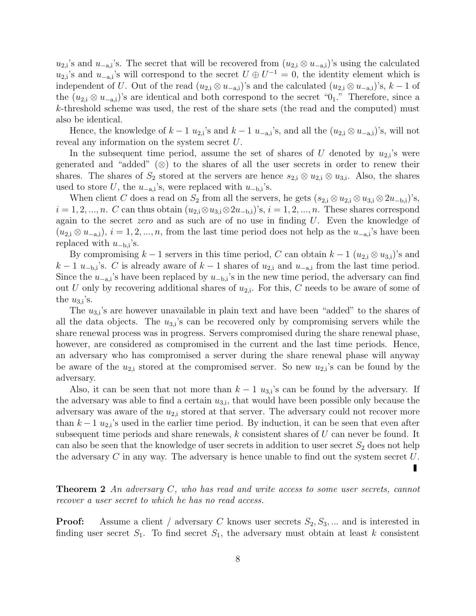$u_{2,i}$ 's and  $u_{-a,i}$ 's. The secret that will be recovered from  $(u_{2,i} \otimes u_{-a,i})$ 's using the calculated  $u_{2,i}$ 's and  $u_{-a,i}$ 's will correspond to the secret  $U \oplus U^{-1} = 0$ , the identity element which is independent of U. Out of the read  $(u_{2,i} \otimes u_{-a,i})$ 's and the calculated  $(u_{2,i} \otimes u_{-a,i})$ 's,  $k-1$  of the  $(u_{2,i} \otimes u_{-a,i})$ 's are identical and both correspond to the secret "0<sub>1</sub>." Therefore, since a k-threshold scheme was used, the rest of the share sets (the read and the computed) must also be identical.

Hence, the knowledge of  $k-1$   $u_{2,i}$ 's and  $k-1$   $u_{-a,i}$ 's, and all the  $(u_{2,i} \otimes u_{-a,i})$ 's, will not reveal any information on the system secret U.

In the subsequent time period, assume the set of shares of U denoted by  $u_{2,i}$ 's were generated and "added"  $(\otimes)$  to the shares of all the user secrets in order to renew their shares. The shares of  $S_2$  stored at the servers are hence  $s_{2,i} \otimes u_{2,i} \otimes u_{3,i}$ . Also, the shares used to store  $U$ , the  $u_{-a,i}$ 's, were replaced with  $u_{-b,i}$ 's.

When client C does a read on  $S_2$  from all the servers, he gets  $(s_{2,i} \otimes u_{2,i} \otimes u_{3,i} \otimes 2u_{-b,i})$ 's,  $i = 1, 2, ..., n$ . C can thus obtain  $(u_{2,i} \otimes u_{3,i} \otimes 2u_{-b,i})$ 's,  $i = 1, 2, ..., n$ . These shares correspond again to the secret *zero* and as such are of no use in finding  $U$ . Even the knowledge of  $(u_{2,i} \otimes u_{-a,i}), i = 1, 2, ..., n$ , from the last time period does not help as the  $u_{-a,i}$ 's have been replaced with  $u_{-b,i}$ 's.

By compromising  $k-1$  servers in this time period, C can obtain  $k-1$   $(u_{2,i} \otimes u_{3,i})$ 's and  $k-1$  u<sub>−b,i</sub>'s. C is already aware of  $k-1$  shares of  $u_{2,i}$  and  $u_{-a,i}$  from the last time period. Since the  $u_{-a,i}$ 's have been replaced by  $u_{-b,i}$ 's in the new time period, the adversary can find out U only by recovering additional shares of  $u_{2,i}$ . For this, C needs to be aware of some of the  $u_{3,i}$ 's.

The  $u_{3,i}$ 's are however unavailable in plain text and have been "added" to the shares of all the data objects. The  $u_{3,i}$ 's can be recovered only by compromising servers while the share renewal process was in progress. Servers compromised during the share renewal phase, however, are considered as compromised in the current and the last time periods. Hence, an adversary who has compromised a server during the share renewal phase will anyway be aware of the  $u_{2,i}$  stored at the compromised server. So new  $u_{2,i}$ 's can be found by the adversary.

Also, it can be seen that not more than  $k-1$   $u_{3,i}$ 's can be found by the adversary. If the adversary was able to find a certain  $u_{3,i}$ , that would have been possible only because the adversary was aware of the  $u_{2,i}$  stored at that server. The adversary could not recover more than  $k-1$   $u_{2,i}$ 's used in the earlier time period. By induction, it can be seen that even after subsequent time periods and share renewals,  $k$  consistent shares of  $U$  can never be found. It can also be seen that the knowledge of user secrets in addition to user secret  $S_2$  does not help the adversary  $C$  in any way. The adversary is hence unable to find out the system secret  $U$ .

**Theorem 2** An adversary  $C$ , who has read and write access to some user secrets, cannot recover a user secret to which he has no read access.

**Proof:** Assume a client / adversary C knows user secrets  $S_2, S_3, \dots$  and is interested in finding user secret  $S_1$ . To find secret  $S_1$ , the adversary must obtain at least k consistent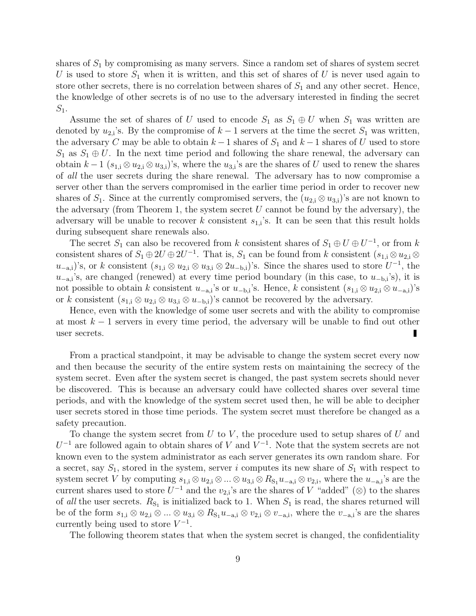shares of  $S_1$  by compromising as many servers. Since a random set of shares of system secret U is used to store  $S_1$  when it is written, and this set of shares of U is never used again to store other secrets, there is no correlation between shares of  $S_1$  and any other secret. Hence, the knowledge of other secrets is of no use to the adversary interested in finding the secret  $S_1$ .

Assume the set of shares of U used to encode  $S_1$  as  $S_1 \oplus U$  when  $S_1$  was written are denoted by  $u_{2,i}$ 's. By the compromise of  $k-1$  servers at the time the secret  $S_1$  was written, the adversary C may be able to obtain  $k-1$  shares of  $S_1$  and  $k-1$  shares of U used to store  $S_1$  as  $S_1 \oplus U$ . In the next time period and following the share renewal, the adversary can obtain  $k-1$  ( $s_{1,i} \otimes u_{2,i} \otimes u_{3,i}$ )'s, where the  $u_{3,i}$ 's are the shares of U used to renew the shares of all the user secrets during the share renewal. The adversary has to now compromise a server other than the servers compromised in the earlier time period in order to recover new shares of  $S_1$ . Since at the currently compromised servers, the  $(u_{2,i} \otimes u_{3,i})$ 's are not known to the adversary (from Theorem 1, the system secret  $U$  cannot be found by the adversary), the adversary will be unable to recover k consistent  $s_{1,i}$ 's. It can be seen that this result holds during subsequent share renewals also.

The secret  $S_1$  can also be recovered from k consistent shares of  $S_1 \oplus U \oplus U^{-1}$ , or from k consistent shares of  $S_1 \oplus 2U \oplus 2U^{-1}$ . That is,  $S_1$  can be found from k consistent  $(s_{1,i} \otimes u_{2,i} \otimes$  $u_{-a,i}$ )'s, or k consistent  $(s_{1,i} \otimes u_{2,i} \otimes u_{3,i} \otimes 2u_{-b,i})$ 's. Since the shares used to store  $U^{-1}$ , the  $u_{-a,i}$ 's, are changed (renewed) at every time period boundary (in this case, to  $u_{-b,i}$ 's), it is not possible to obtain k consistent  $u_{-a,i}$ 's or  $u_{-b,i}$ 's. Hence, k consistent  $(s_{1,i} \otimes u_{2,i} \otimes u_{-a,i})$ 's or k consistent  $(s_{1,i} \otimes u_{2,i} \otimes u_{3,i} \otimes u_{-b,i})$ 's cannot be recovered by the adversary.

Hence, even with the knowledge of some user secrets and with the ability to compromise at most  $k-1$  servers in every time period, the adversary will be unable to find out other user secrets. п

From a practical standpoint, it may be advisable to change the system secret every now and then because the security of the entire system rests on maintaining the secrecy of the system secret. Even after the system secret is changed, the past system secrets should never be discovered. This is because an adversary could have collected shares over several time periods, and with the knowledge of the system secret used then, he will be able to decipher user secrets stored in those time periods. The system secret must therefore be changed as a safety precaution.

To change the system secret from  $U$  to  $V$ , the procedure used to setup shares of  $U$  and  $U^{-1}$  are followed again to obtain shares of V and  $V^{-1}$ . Note that the system secrets are not known even to the system administrator as each server generates its own random share. For a secret, say  $S_1$ , stored in the system, server i computes its new share of  $S_1$  with respect to system secret V by computing  $s_{1,i} \otimes u_{2,i} \otimes ... \otimes u_{3,i} \otimes R_{S_1} u_{-a,i} \otimes v_{2,i}$ , where the  $u_{-a,i}$ 's are the current shares used to store  $\tilde{U}^{-1}$  and the  $v_{2,i}$ 's are the shares of V "added" (⊗) to the shares of all the user secrets.  $R_{S_1}$  is initialized back to 1. When  $S_1$  is read, the shares returned will be of the form  $s_{1,i} \otimes u_{2,i} \otimes ... \otimes u_{3,i} \otimes R_{S_1} u_{-a,i} \otimes v_{2,i} \otimes v_{-a,i}$ , where the  $v_{-a,i}$ 's are the shares currently being used to store  $V^{-1}$ .

The following theorem states that when the system secret is changed, the confidentiality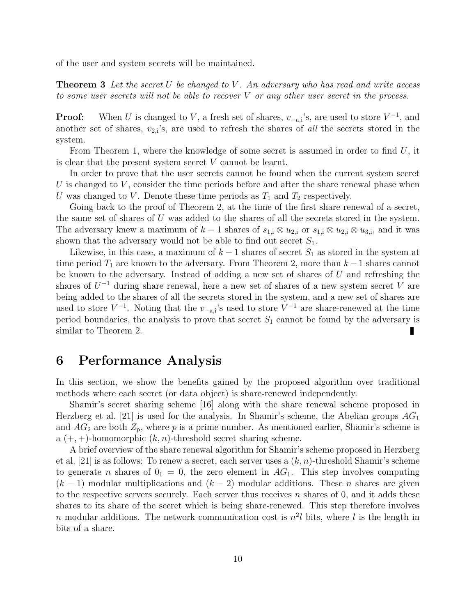of the user and system secrets will be maintained.

**Theorem 3** Let the secret U be changed to V. An adversary who has read and write access to some user secrets will not be able to recover  $V$  or any other user secret in the process.

**Proof:** When U is changed to V, a fresh set of shares,  $v_{-a,i}$ 's, are used to store  $V^{-1}$ , and another set of shares,  $v_{2,i}$ 's, are used to refresh the shares of *all* the secrets stored in the system.

From Theorem 1, where the knowledge of some secret is assumed in order to find  $U$ , it is clear that the present system secret  $V$  cannot be learnt.

In order to prove that the user secrets cannot be found when the current system secret U is changed to  $V$ , consider the time periods before and after the share renewal phase when U was changed to V. Denote these time periods as  $T_1$  and  $T_2$  respectively.

Going back to the proof of Theorem 2, at the time of the first share renewal of a secret, the same set of shares of U was added to the shares of all the secrets stored in the system. The adversary knew a maximum of  $k-1$  shares of  $s_{1,i} \otimes u_{2,i}$  or  $s_{1,i} \otimes u_{2,i} \otimes u_{3,i}$ , and it was shown that the adversary would not be able to find out secret  $S_1$ .

Likewise, in this case, a maximum of  $k-1$  shares of secret  $S_1$  as stored in the system at time period  $T_1$  are known to the adversary. From Theorem 2, more than  $k-1$  shares cannot be known to the adversary. Instead of adding a new set of shares of U and refreshing the shares of  $U^{-1}$  during share renewal, here a new set of shares of a new system secret V are being added to the shares of all the secrets stored in the system, and a new set of shares are used to store  $V^{-1}$ . Noting that the  $v_{-a,i}$ 's used to store  $V^{-1}$  are share-renewed at the time period boundaries, the analysis to prove that secret  $S_1$  cannot be found by the adversary is similar to Theorem 2.

## 6 Performance Analysis

In this section, we show the benefits gained by the proposed algorithm over traditional methods where each secret (or data object) is share-renewed independently.

Shamir's secret sharing scheme [16] along with the share renewal scheme proposed in Herzberg et al. [21] is used for the analysis. In Shamir's scheme, the Abelian groups  $AG_1$ and  $AG_2$  are both  $Z_p$ , where p is a prime number. As mentioned earlier, Shamir's scheme is a  $(+, +)$ -homomorphic  $(k, n)$ -threshold secret sharing scheme.

A brief overview of the share renewal algorithm for Shamir's scheme proposed in Herzberg et al. [21] is as follows: To renew a secret, each server uses a  $(k, n)$ -threshold Shamir's scheme to generate *n* shares of  $0<sub>1</sub> = 0$ , the zero element in AG<sub>1</sub>. This step involves computing  $(k-1)$  modular multiplications and  $(k-2)$  modular additions. These *n* shares are given to the respective servers securely. Each server thus receives  $n$  shares of 0, and it adds these shares to its share of the secret which is being share-renewed. This step therefore involves n modular additions. The network communication cost is  $n^2l$  bits, where l is the length in bits of a share.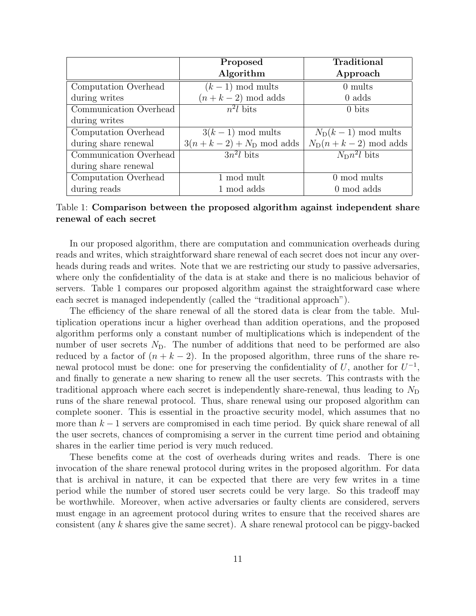|                        | Proposed                  | Traditional                 |
|------------------------|---------------------------|-----------------------------|
|                        | Algorithm                 | Approach                    |
| Computation Overhead   | $(k-1)$ mod mults         | $0 \text{ mults}$           |
| during writes          | $(n+k-2) \mod$ adds       | $0$ adds                    |
| Communication Overhead | $n^2l$ bits               | $0 \text{ bits}$            |
| during writes          |                           |                             |
| Computation Overhead   | $3(k-1)$ mod mults        | $N_{\rm D}(k-1)$ mod mults  |
| during share renewal   | $3(n+k-2) + N_D$ mod adds | $N_{\rm D}(n+k-2)$ mod adds |
| Communication Overhead | $3n^2l$ bits              | $N_{\rm D}n^2l$ bits        |
| during share renewal   |                           |                             |
| Computation Overhead   | 1 mod mult                | $0 \mod \text{mults}$       |
| during reads           | 1 mod adds                | 0 mod adds                  |

Table 1: Comparison between the proposed algorithm against independent share renewal of each secret

In our proposed algorithm, there are computation and communication overheads during reads and writes, which straightforward share renewal of each secret does not incur any overheads during reads and writes. Note that we are restricting our study to passive adversaries, where only the confidentiality of the data is at stake and there is no malicious behavior of servers. Table 1 compares our proposed algorithm against the straightforward case where each secret is managed independently (called the "traditional approach").

The efficiency of the share renewal of all the stored data is clear from the table. Multiplication operations incur a higher overhead than addition operations, and the proposed algorithm performs only a constant number of multiplications which is independent of the number of user secrets  $N_D$ . The number of additions that need to be performed are also reduced by a factor of  $(n + k - 2)$ . In the proposed algorithm, three runs of the share renewal protocol must be done: one for preserving the confidentiality of U, another for  $U^{-1}$ , and finally to generate a new sharing to renew all the user secrets. This contrasts with the traditional approach where each secret is independently share-renewal, thus leading to  $N_{\rm D}$ runs of the share renewal protocol. Thus, share renewal using our proposed algorithm can complete sooner. This is essential in the proactive security model, which assumes that no more than  $k-1$  servers are compromised in each time period. By quick share renewal of all the user secrets, chances of compromising a server in the current time period and obtaining shares in the earlier time period is very much reduced.

These benefits come at the cost of overheads during writes and reads. There is one invocation of the share renewal protocol during writes in the proposed algorithm. For data that is archival in nature, it can be expected that there are very few writes in a time period while the number of stored user secrets could be very large. So this tradeoff may be worthwhile. Moreover, when active adversaries or faulty clients are considered, servers must engage in an agreement protocol during writes to ensure that the received shares are consistent (any k shares give the same secret). A share renewal protocol can be piggy-backed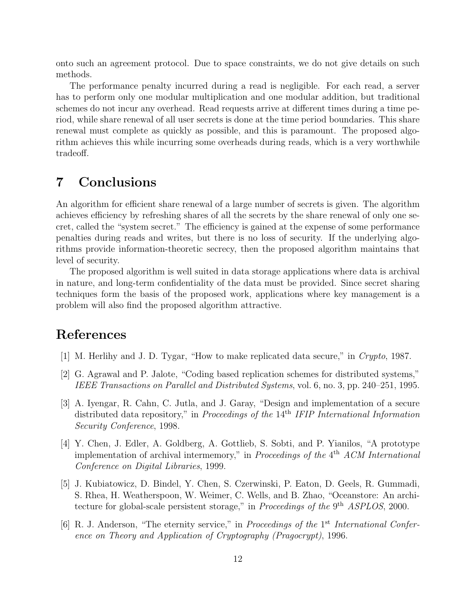onto such an agreement protocol. Due to space constraints, we do not give details on such methods.

The performance penalty incurred during a read is negligible. For each read, a server has to perform only one modular multiplication and one modular addition, but traditional schemes do not incur any overhead. Read requests arrive at different times during a time period, while share renewal of all user secrets is done at the time period boundaries. This share renewal must complete as quickly as possible, and this is paramount. The proposed algorithm achieves this while incurring some overheads during reads, which is a very worthwhile tradeoff.

# 7 Conclusions

An algorithm for efficient share renewal of a large number of secrets is given. The algorithm achieves efficiency by refreshing shares of all the secrets by the share renewal of only one secret, called the "system secret." The efficiency is gained at the expense of some performance penalties during reads and writes, but there is no loss of security. If the underlying algorithms provide information-theoretic secrecy, then the proposed algorithm maintains that level of security.

The proposed algorithm is well suited in data storage applications where data is archival in nature, and long-term confidentiality of the data must be provided. Since secret sharing techniques form the basis of the proposed work, applications where key management is a problem will also find the proposed algorithm attractive.

# References

- [1] M. Herlihy and J. D. Tygar, "How to make replicated data secure," in Crypto, 1987.
- [2] G. Agrawal and P. Jalote, "Coding based replication schemes for distributed systems," IEEE Transactions on Parallel and Distributed Systems, vol. 6, no. 3, pp. 240–251, 1995.
- [3] A. Iyengar, R. Cahn, C. Jutla, and J. Garay, "Design and implementation of a secure distributed data repository," in Proceedings of the 14<sup>th</sup> IFIP International Information Security Conference, 1998.
- [4] Y. Chen, J. Edler, A. Goldberg, A. Gottlieb, S. Sobti, and P. Yianilos, "A prototype implementation of archival intermemory," in *Proceedings of the*  $4<sup>th</sup>$  ACM International Conference on Digital Libraries, 1999.
- [5] J. Kubiatowicz, D. Bindel, Y. Chen, S. Czerwinski, P. Eaton, D. Geels, R. Gummadi, S. Rhea, H. Weatherspoon, W. Weimer, C. Wells, and B. Zhao, "Oceanstore: An architecture for global-scale persistent storage," in *Proceedings of the*  $9<sup>th</sup>$  *ASPLOS*, 2000.
- [6] R. J. Anderson, "The eternity service," in Proceedings of the 1<sup>st</sup> International Conference on Theory and Application of Cryptography (Pragocrypt), 1996.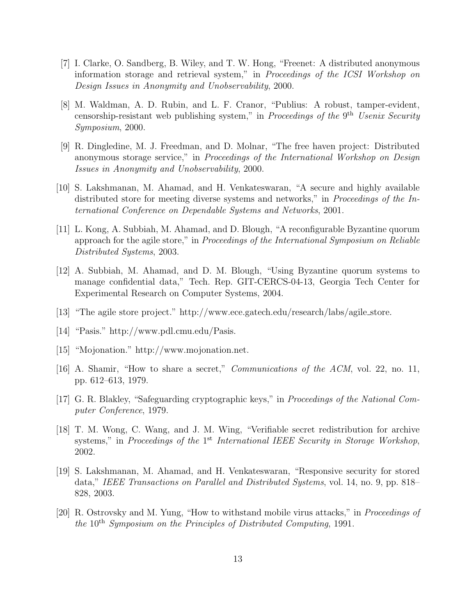- [7] I. Clarke, O. Sandberg, B. Wiley, and T. W. Hong, "Freenet: A distributed anonymous information storage and retrieval system," in Proceedings of the ICSI Workshop on Design Issues in Anonymity and Unobservability, 2000.
- [8] M. Waldman, A. D. Rubin, and L. F. Cranor, "Publius: A robust, tamper-evident, censorship-resistant web publishing system," in Proceedings of the 9<sup>th</sup> Usenix Security Symposium, 2000.
- [9] R. Dingledine, M. J. Freedman, and D. Molnar, "The free haven project: Distributed anonymous storage service," in Proceedings of the International Workshop on Design Issues in Anonymity and Unobservability, 2000.
- [10] S. Lakshmanan, M. Ahamad, and H. Venkateswaran, "A secure and highly available distributed store for meeting diverse systems and networks," in *Proceedings of the In*ternational Conference on Dependable Systems and Networks, 2001.
- [11] L. Kong, A. Subbiah, M. Ahamad, and D. Blough, "A reconfigurable Byzantine quorum approach for the agile store," in Proceedings of the International Symposium on Reliable Distributed Systems, 2003.
- [12] A. Subbiah, M. Ahamad, and D. M. Blough, "Using Byzantine quorum systems to manage confidential data," Tech. Rep. GIT-CERCS-04-13, Georgia Tech Center for Experimental Research on Computer Systems, 2004.
- [13] "The agile store project." http://www.ece.gatech.edu/research/labs/agile store.
- [14] "Pasis." http://www.pdl.cmu.edu/Pasis.
- [15] "Mojonation." http://www.mojonation.net.
- [16] A. Shamir, "How to share a secret," *Communications of the ACM*, vol. 22, no. 11, pp. 612–613, 1979.
- [17] G. R. Blakley, "Safeguarding cryptographic keys," in Proceedings of the National Computer Conference, 1979.
- [18] T. M. Wong, C. Wang, and J. M. Wing, "Verifiable secret redistribution for archive systems," in Proceedings of the 1<sup>st</sup> International IEEE Security in Storage Workshop, 2002.
- [19] S. Lakshmanan, M. Ahamad, and H. Venkateswaran, "Responsive security for stored data," IEEE Transactions on Parallel and Distributed Systems, vol. 14, no. 9, pp. 818– 828, 2003.
- [20] R. Ostrovsky and M. Yung, "How to withstand mobile virus attacks," in Proceedings of the 10th Symposium on the Principles of Distributed Computing, 1991.